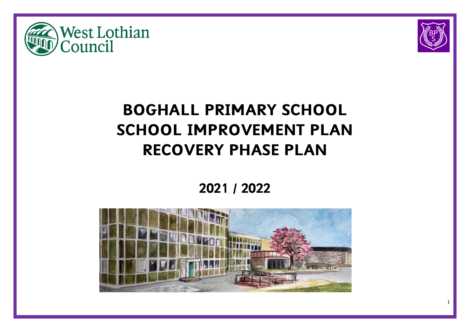



# **BOGHALL PRIMARY SCHOOL SCHOOL IMPROVEMENT PLAN RECOVERY PHASE PLAN**

**2021 / 2022**

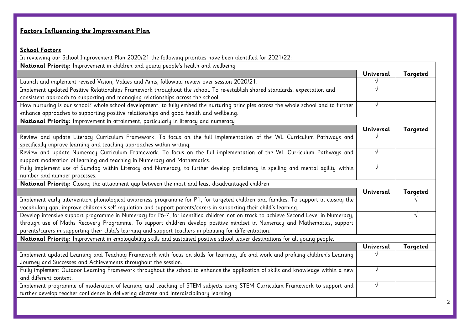# **Factors Influencing the Improvement Plan**

# **School Factors**

In reviewing our School Improvement Plan 2020/21 the following priorities have been identified for 2021/22:

| National Priority: Improvement in children and young people's health and wellbeing                                                                                                                                                                         |           |                 |  |
|------------------------------------------------------------------------------------------------------------------------------------------------------------------------------------------------------------------------------------------------------------|-----------|-----------------|--|
|                                                                                                                                                                                                                                                            | Universal | <b>Targeted</b> |  |
| Launch and implement revised Vision, Values and Aims, following review over session 2020/21.                                                                                                                                                               |           |                 |  |
| Implement updated Positive Relationships Framework throughout the school. To re-establish shared standards, expectation and                                                                                                                                |           |                 |  |
| consistent approach to supporting and managing relationships across the school.                                                                                                                                                                            |           |                 |  |
| How nurturing is our school? whole school development, to fully embed the nurturing principles across the whole school and to further                                                                                                                      | $\sqrt{}$ |                 |  |
| enhance approaches to supporting positive relationships and good health and wellbeing.                                                                                                                                                                     |           |                 |  |
| National Priority: Improvement in attainment, particularly in literacy and numeracy                                                                                                                                                                        |           |                 |  |
|                                                                                                                                                                                                                                                            | Universal | Targeted        |  |
| Review and update Literacy Curriculum Framework. To focus on the full implementation of the WL Curriculum Pathways and                                                                                                                                     |           |                 |  |
| specifically improve learning and teaching approaches within writing.                                                                                                                                                                                      |           |                 |  |
| Review and update Numeracy Curriculum Framework. To focus on the full implementation of the WL Curriculum Pathways and                                                                                                                                     |           |                 |  |
| support moderation of learning and teaching in Numeracy and Mathematics.                                                                                                                                                                                   |           |                 |  |
| Fully implement use of Sumdog within Literacy and Numeracy, to further develop proficiency in spelling and mental agility within                                                                                                                           | $\sqrt{}$ |                 |  |
| number and number processes.                                                                                                                                                                                                                               |           |                 |  |
| National Priority: Closing the attainment gap between the most and least disadvantaged children                                                                                                                                                            |           |                 |  |
|                                                                                                                                                                                                                                                            | Universal | Targeted        |  |
| Implement early intervention phonological awareness programme for P1, for targeted children and families. To support in closing the<br>vocabulary gap, improve children's self-regulation and support parents/carers in supporting their child's learning. |           |                 |  |
| Develop intensive support programme in Numeracy for P6-7, for identified children not on track to achieve Second Level in Numeracy,                                                                                                                        |           |                 |  |
| through use of Maths Recovery Programme. To support children develop positive mindset in Numeracy and Mathematics, support                                                                                                                                 |           |                 |  |
| parents/carers in supporting their child's learning and support teachers in planning for differentiation.                                                                                                                                                  |           |                 |  |
| National Priority: Improvement in employability skills and sustained positive school leaver destinations for all young people.                                                                                                                             |           |                 |  |
|                                                                                                                                                                                                                                                            | Universal | <b>Targeted</b> |  |
| Implement updated Learning and Teaching Framework with focus on skills for learning, life and work and profiling children's Learning                                                                                                                       |           |                 |  |
| Journey and Successes and Achievements throughout the session.                                                                                                                                                                                             |           |                 |  |
| Fully implement Outdoor Learning Framework throughout the school to enhance the application of skills and knowledge within a new                                                                                                                           | $\sqrt{}$ |                 |  |
| and different context.                                                                                                                                                                                                                                     |           |                 |  |
| Implement programme of moderation of learning and teaching of STEM subjects using STEM Curriculum Framework to support and                                                                                                                                 |           |                 |  |
| further develop teacher confidence in delivering discrete and interdisciplinary learning.                                                                                                                                                                  |           |                 |  |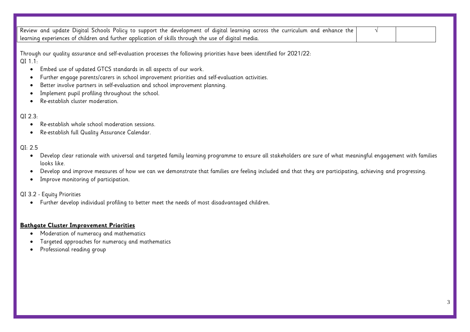| Review and update Digital Schools Policy to support the development of digital learning across the curriculum and enhance the<br>$\sqrt{ }$                                               |
|-------------------------------------------------------------------------------------------------------------------------------------------------------------------------------------------|
| learning experiences of children and further application of skills through the use of digital media.                                                                                      |
|                                                                                                                                                                                           |
| Through our quality assurance and self-evaluation processes the following priorities have been identified for 2021/22:                                                                    |
| $QI$ 1.1:                                                                                                                                                                                 |
| Embed use of updated GTCS standards in all aspects of our work.<br>$\bullet$                                                                                                              |
| Further engage parents/carers in school improvement priorities and self-evaluation activities.<br>$\bullet$                                                                               |
| Better involve partners in self-evaluation and school improvement planning.<br>٠                                                                                                          |
| Implement pupil profiling throughout the school.<br>$\bullet$                                                                                                                             |
| Re-establish cluster moderation.                                                                                                                                                          |
|                                                                                                                                                                                           |
| QI 2.3:                                                                                                                                                                                   |
| Re-establish whole school moderation sessions.<br>$\bullet$                                                                                                                               |
| Re-establish full Quality Assurance Calendar.<br>$\bullet$                                                                                                                                |
|                                                                                                                                                                                           |
| QI: 2.5                                                                                                                                                                                   |
| Develop clear rationale with universal and targeted family learning programme to ensure all stakeholders are sure of what meaningful engagement with families<br>$\bullet$<br>looks like. |
| Develop and improve measures of how we can we demonstrate that families are feeling included and that they are participating, achieving and progressing.<br>$\bullet$                     |
| Improve monitoring of participation.<br>$\bullet$                                                                                                                                         |
|                                                                                                                                                                                           |
| QI 3.2 - Equity Priorities                                                                                                                                                                |
| Further develop individual profiling to better meet the needs of most disadvantaged children.<br>$\bullet$                                                                                |
|                                                                                                                                                                                           |
| <b>Bathgate Cluster Improvement Priorities</b>                                                                                                                                            |
|                                                                                                                                                                                           |
| Moderation of numeracy and mathematics<br>$\bullet$                                                                                                                                       |
| Targeted approaches for numeracy and mathematics<br>$\bullet$                                                                                                                             |
| Professional reading group                                                                                                                                                                |
|                                                                                                                                                                                           |
|                                                                                                                                                                                           |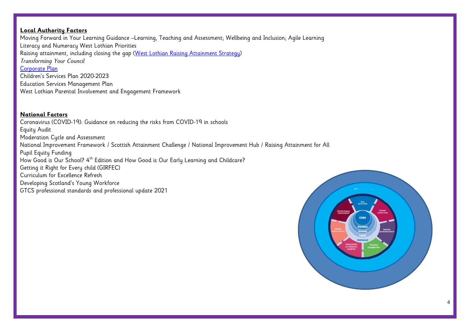# **Local Authority Factors**

Moving Forward in Your Learning Guidance –Learning, Teaching and Assessment; Wellbeing and Inclusion; Agile Learning Literacy and Numeracy West Lothian Priorities Raising attainment, including closing the gap [\(West Lothian Raising Attainment Strategy\)](https://www.westlothian.gov.uk/media/29938/Raising-Attainment-Strategy-201819-to-202223/pdf/Raising_Attainment_Strategy.pdf) *Transforming Your Council* [Corporate Plan](https://www.westlothian.gov.uk/media/19488/Corporate-Plan-2018-2023/pdf/Corporate_Plan_2018_to_2023.pdf) Children's Services Plan 2020-2023 Education Services Management Plan West Lothian Parental Involvement and Engagement Framework

# **National Factors**

Coronavirus (COVID-19): Guidance on reducing the risks from COVID-19 in schools Equity Audit Moderation Cucle and Assessment National Improvement Framework / Scottish Attainment Challenge / National Improvement Hub / Raising Attainment for All Pupil Equity Funding How Good is Our School? 4<sup>th</sup> Edition and How Good is Our Early Learning and Childcare? Getting it Right for Every child (GIRFEC) Curriculum for Excellence Refresh Developing Scotland's Young Workforce GTCS professional standards and professional update 2021 **Current** 

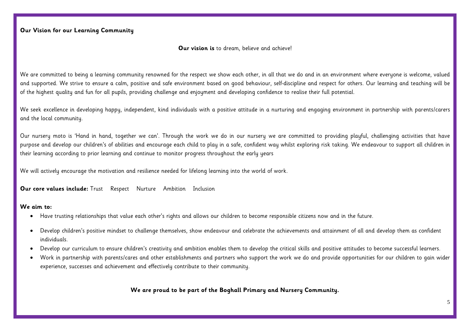#### **Our vision is** to dream, believe and achieve!

We are committed to being a learning community renowned for the respect we show each other, in all that we do and in an environment where everyone is welcome, valued and supported. We strive to ensure a calm, positive and safe environment based on good behaviour, self-discipline and respect for others. Our learning and teaching will be of the highest quality and fun for all pupils, providing challenge and enjoyment and developing confidence to realise their full potential.

We seek excellence in developing happy, independent, kind individuals with a positive attitude in a nurturing and engaging environment in partnership with parents/carers and the local community.

Our nursery moto is 'Hand in hand, together we can'. Through the work we do in our nursery we are committed to providing playful, challenging activities that have purpose and develop our children's of abilities and encourage each child to play in a safe, confident way whilst exploring risk taking. We endeavour to support all children in their learning according to prior learning and continue to monitor progress throughout the early years

We will actively encourage the motivation and resilience needed for lifelong learning into the world of work.

**Our core values include:** Trust Respect Nurture Ambition Inclusion

#### **We aim to:**

- Have trusting relationships that value each other's rights and allows our children to become responsible citizens now and in the future.
- Develop children's positive mindset to challenge themselves, show endeavour and celebrate the achievements and attainment of all and develop them as confident individuals.
- Develop our curriculum to ensure children's creativity and ambition enables them to develop the critical skills and positive attitudes to become successful learners.
- Work in partnership with parents/cares and other establishments and partners who support the work we do and provide opportunities for our children to gain wider experience, successes and achievement and effectively contribute to their community.

**We are proud to be part of the Boghall Primary and Nursery Community.**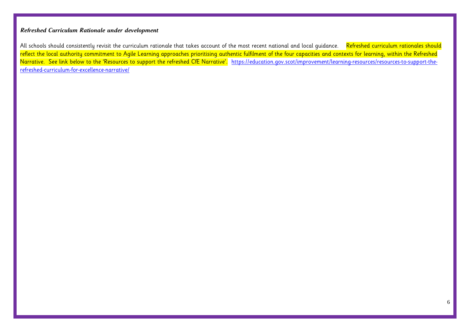# *Refreshed Curriculum Rationale under development*

All schools should consistently revisit the curriculum rationale that takes account of the most recent national and local quidance. Refreshed curriculum rationales should reflect the local authority commitment to Agile Learning approaches prioritising authentic fulfilment of the four capacities and contexts for learning, within the Refreshed Narrative. See link below to the 'Resources to support the refreshed CfE Narrative'. [https://education.gov.scot/improvement/learning-resources/resources-to-support-the](https://education.gov.scot/improvement/learning-resources/resources-to-support-the-refreshed-curriculum-for-excellence-narrative/)[refreshed-curriculum-for-excellence-narrative/](https://education.gov.scot/improvement/learning-resources/resources-to-support-the-refreshed-curriculum-for-excellence-narrative/)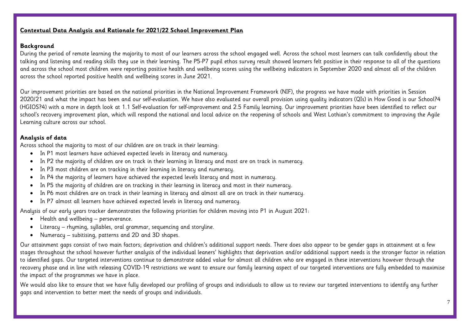## **Contextual Data Analysis and Rationale for 2021/22 School Improvement Plan**

### **Background**

During the period of remote learning the majority to most of our learners across the school engaged well. Across the school most learners can talk confidently about the talking and listening and reading skills they use in their learning. The P5-P7 pupil ethos survey result showed learners felt positive in their response to all of the questions and across the school most children were reporting positive health and wellbeing scores using the wellbeing indicators in September 2020 and almost all of the children across the school reported positive health and wellbeing scores in June 2021.

Our improvement priorities are based on the national priorities in the National Improvement Framework (NIF), the progress we have made with priorities in Session 2020/21 and what the impact has been and our self-evaluation. We have also evaluated our overall provision using quality indicators (QIs) in How Good is our School?4 (HGIOS?4) with a more in depth look at 1.1 Self-evaluation for self-improvement and 2.5 Family learning. Our improvement priorities have been identified to reflect our school's recovery improvement plan, which will respond the national and local advice on the reopening of schools and West Lothian's commitment to improving the Agile Learning culture across our school.

## **Analysis of data**

Across school the majority to most of our children are on track in their learning:

- In P1 most learners have achieved expected levels in literacy and numeracy.
- In P2 the majority of children are on track in their learning in literacy and most are on track in numeracy.
- In P3 most children are on tracking in their learning in literacy and numeracy.
- In P4 the majority of learners have achieved the expected levels literacy and most in numeracy.
- In P5 the majority of children are on tracking in their learning in literacy and most in their numeracy.
- In P6 most children are on track in their learning in literacy and almost all are on track in their numeracy.
- In P7 almost all learners have achieved expected levels in literacy and numeracy.

Analysis of our early years tracker demonstrates the following priorities for children moving into P1 in August 2021:

- Health and wellbeing perseverance.
- Literacy rhyming, syllables, oral grammar, sequencing and storyline.
- Numeracy subitising, patterns and 2D and 3D shapes.

Our attainment gaps consist of two main factors; deprivation and children's additional support needs. There does also appear to be gender gaps in attainment at a few stages throughout the school however further analysis of the individual leaners' highlights that deprivation and/or additional support needs is the stronger factor in relation to identified gaps. Our targeted interventions continue to demonstrate added value for almost all children who are engaged in these interventions however through the recovery phase and in line with releasing COVID-19 restrictions we want to ensure our family learning aspect of our targeted interventions are fully embedded to maximise the impact of the programmes we have in place.

We would also like to ensure that we have fully developed our profiling of groups and individuals to allow us to review our targeted interventions to identify any further gaps and intervention to better meet the needs of groups and individuals.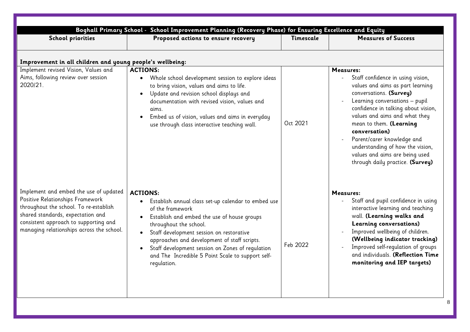| Boghall Primary School - School Improvement Planning (Recovery Phase) for Ensuring Excellence and Equity                                                                                                                                        |                                                                                                                                                                                                                                                                                                                                                                                                      |           |                                                                                                                                                                                                                                                                                                                                                                                                                    |  |
|-------------------------------------------------------------------------------------------------------------------------------------------------------------------------------------------------------------------------------------------------|------------------------------------------------------------------------------------------------------------------------------------------------------------------------------------------------------------------------------------------------------------------------------------------------------------------------------------------------------------------------------------------------------|-----------|--------------------------------------------------------------------------------------------------------------------------------------------------------------------------------------------------------------------------------------------------------------------------------------------------------------------------------------------------------------------------------------------------------------------|--|
| <b>School priorities</b>                                                                                                                                                                                                                        | Proposed actions to ensure recovery                                                                                                                                                                                                                                                                                                                                                                  | Timescale | <b>Measures of Success</b>                                                                                                                                                                                                                                                                                                                                                                                         |  |
| Improvement in all children and young people's wellbeing:                                                                                                                                                                                       |                                                                                                                                                                                                                                                                                                                                                                                                      |           |                                                                                                                                                                                                                                                                                                                                                                                                                    |  |
| Implement revised Vision, Values and<br>Aims, following review over session<br>2020/21.                                                                                                                                                         | <b>ACTIONS:</b><br>Whole school development session to explore ideas<br>$\bullet$<br>to bring vision, values and aims to life.<br>Update and revision school displays and<br>$\bullet$<br>documentation with revised vision, values and<br>aims.<br>Embed us of vision, values and aims in everyday<br>use through class interactive teaching wall.                                                  | Oct 2021  | <b>Measures:</b><br>Staff confidence in using vision,<br>values and aims as part learning<br>conversations. (Survey)<br>Learning conversations - pupil<br>confidence in talking about vision,<br>values and aims and what they<br>mean to them. (Learning<br>conversation)<br>Parent/carer knowledge and<br>understanding of how the vision,<br>values and aims are being used<br>through daily practice. (Survey) |  |
| Implement and embed the use of updated<br>Positive Relationships Framework<br>throughout the school. To re-establish<br>shared standards, expectation and<br>consistent approach to supporting and<br>managing relationships across the school. | <b>ACTIONS:</b><br>Establish annual class set-up calendar to embed use<br>of the framework<br>Establish and embed the use of house groups<br>$\bullet$<br>throughout the school.<br>Staff development session on restorative<br>approaches and development of staff scripts.<br>Staff development session on Zones of requlation<br>and The Incredible 5 Point Scale to support self-<br>regulation. | Feb 2022  | <b>Measures:</b><br>Staff and pupil confidence in using<br>interactive learning and teaching<br>wall. (Learning walks and<br>Learning conversations)<br>Improved wellbeing of children.<br>(Wellbeing indicator tracking)<br>Improved self-requlation of groups<br>and individuals. (Reflection Time<br>monitoring and IEP targets)                                                                                |  |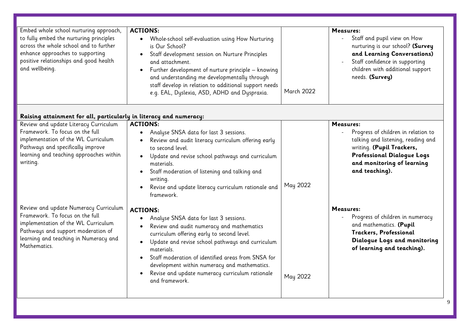| Embed whole school nurturing approach,<br>to fully embed the nurturing principles<br>across the whole school and to further<br>enhance approaches to supporting<br>positive relationships and good health<br>and wellbeing. | <b>ACTIONS:</b><br>Whole-school self-evaluation using How Nurturing<br>is Our School?<br>Staff development session on Nurture Principles<br>and attachment.<br>Further development of nurture principle - knowing<br>and understanding me developmentally through<br>staff develop in relation to additional support needs<br>e.g. EAL, Dyslexia, ASD, ADHD and Dyspraxia.                                     | March 2022 | Measures:<br>Staff and pupil view on How<br>nurturing is our school? (Survey<br>and Learning Conversations)<br>Staff confidence in supporting<br>children with additional support<br>needs. (Survey)                     |
|-----------------------------------------------------------------------------------------------------------------------------------------------------------------------------------------------------------------------------|----------------------------------------------------------------------------------------------------------------------------------------------------------------------------------------------------------------------------------------------------------------------------------------------------------------------------------------------------------------------------------------------------------------|------------|--------------------------------------------------------------------------------------------------------------------------------------------------------------------------------------------------------------------------|
| Raising attainment for all, particularly in literacy and numeracy:                                                                                                                                                          |                                                                                                                                                                                                                                                                                                                                                                                                                |            |                                                                                                                                                                                                                          |
| Review and update Literacy Curriculum<br>Framework. To focus on the full<br>implementation of the WL Curriculum<br>Pathways and specifically improve<br>learning and teaching approaches within<br>writing.                 | <b>ACTIONS:</b><br>Analyse SNSA data for last 3 sessions.<br>Review and audit literacy curriculum offering early<br>to second level.<br>Update and revise school pathways and curriculum<br>$\bullet$<br>materials.<br>Staff moderation of listening and talking and<br>$\bullet$<br>writing.<br>Revise and update literacy curriculum rationale and<br>framework.                                             | May 2022   | Measures:<br>Progress of children in relation to<br>$\mathbb{L}$<br>talking and listening, reading and<br>writing. (Pupil Trackers,<br><b>Professional Dialogue Logs</b><br>and monitoring of learning<br>and teaching). |
| Review and update Numeracy Curriculum<br>Framework. To focus on the full<br>implementation of the WL Curriculum<br>Pathways and support moderation of<br>learning and teaching in Numeracy and<br>Mathematics.              | <b>ACTIONS:</b><br>Analyse SNSA data for last 3 sessions.<br>Review and audit numeracy and mathematics<br>curriculum offering early to second level.<br>Update and revise school pathways and curriculum<br>$\bullet$<br>materials.<br>Staff moderation of identified areas from SNSA for<br>development within numeracy and mathematics.<br>Revise and update numeracy curriculum rationale<br>and framework. | May 2022   | Measures:<br>Progress of children in numeracy<br>and mathematics. (Pupil<br>Trackers, Professional<br>Dialogue Logs and monitoring<br>of learning and teaching).                                                         |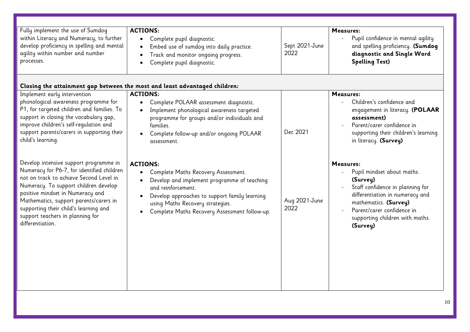| Fully implement the use of Sumdog<br>within Literacy and Numeracy, to further<br>develop proficiency in spelling and mental<br>agility within number and number<br>processes.                                                                                                                                                                           | <b>ACTIONS:</b><br>Complete pupil diagnostic.<br>Embed use of sumdog into daily practice.<br>Track and monitor ongoing progress.<br>Complete pupil diagnostic.                                                                                                    | Sept 2021-June<br>2022 | Measures:<br>Pupil confidence in mental agility<br>and spelling proficiency. (Sumdog<br>diagnostic and Single Word<br><b>Spelling Test)</b>                                                                                      |
|---------------------------------------------------------------------------------------------------------------------------------------------------------------------------------------------------------------------------------------------------------------------------------------------------------------------------------------------------------|-------------------------------------------------------------------------------------------------------------------------------------------------------------------------------------------------------------------------------------------------------------------|------------------------|----------------------------------------------------------------------------------------------------------------------------------------------------------------------------------------------------------------------------------|
|                                                                                                                                                                                                                                                                                                                                                         | Closing the attainment gap between the most and least advantaged children:                                                                                                                                                                                        |                        |                                                                                                                                                                                                                                  |
| Implement early intervention<br>phonological awareness programme for<br>P1, for targeted children and families. To<br>support in closing the vocabulary gap,<br>improve children's self-requlation and<br>support parents/carers in supporting their<br>child's learning.                                                                               | <b>ACTIONS:</b><br>Complete POLAAR assessment diagnostic.<br>Implement phonological awareness targeted<br>programme for groups and/or individuals and<br>families.<br>Complete follow-up and/or ongoing POLAAR<br>assessment.                                     | Dec 2021               | Measures:<br>Children's confidence and<br>engagement in literacy. (POLAAR<br>assessment)<br>Parent/carer confidence in<br>supporting their children's learning<br>in literacy. (Survey)                                          |
| Develop intensive support programme in<br>Numeracy for P6-7, for identified children<br>not on track to achieve Second Level in<br>Numeracy. To support children develop<br>positive mindset in Numeracy and<br>Mathematics, support parents/carers in<br>supporting their child's learning and<br>support teachers in planning for<br>differentiation. | <b>ACTIONS:</b><br>Complete Maths Recovery Assessment.<br>Develop and implement programme of teaching<br>and reinforcement.<br>Develop approaches to support family learning<br>using Maths Recovery strategies.<br>Complete Maths Recovery Assessment follow-up. | Aug 2021-June<br>2022  | Measures:<br>Pupil mindset about maths.<br>(Survey)<br>Staff confidence in planning for<br>differentiation in numeracy and<br>mathematics. (Survey)<br>Parent/carer confidence in<br>supporting children with maths.<br>(Survey) |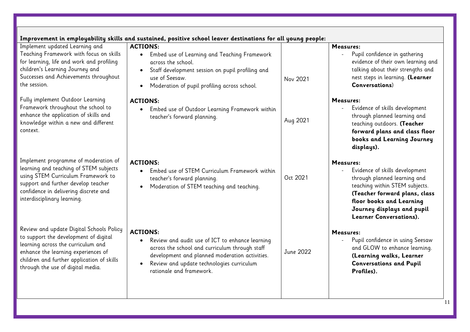| Improvement in employability skills and sustained, positive school leaver destinations for all young people:                                                                                                                                      |                                                                                                                                                                                                                                                              |           |                                                                                                                                                                                                                                     |
|---------------------------------------------------------------------------------------------------------------------------------------------------------------------------------------------------------------------------------------------------|--------------------------------------------------------------------------------------------------------------------------------------------------------------------------------------------------------------------------------------------------------------|-----------|-------------------------------------------------------------------------------------------------------------------------------------------------------------------------------------------------------------------------------------|
| Implement updated Learning and<br>Teaching Framework with focus on skills<br>for learning, life and work and profiling<br>children's Learning Journey and<br>Successes and Achievements throughout<br>the session.                                | <b>ACTIONS:</b><br>Embed use of Learning and Teaching Framework<br>$\bullet$<br>across the school.<br>Staff development session on pupil profiling and<br>use of Seesaw.<br>Moderation of pupil profiling across school.                                     | Nov 2021  | Measures:<br>Pupil confidence in gathering<br>$\overline{\phantom{0}}$<br>evidence of their own learning and<br>talking about their strengths and<br>nest steps in learning. (Learner<br>Conversations)                             |
| Fully implement Outdoor Learning<br>Framework throughout the school to<br>enhance the application of skills and<br>knowledge within a new and different<br>context.                                                                               | <b>ACTIONS:</b><br>• Embed use of Outdoor Learning Framework within<br>teacher's forward planning.                                                                                                                                                           | Aug 2021  | Measures:<br>Evidence of skills development<br>through planned learning and<br>teaching outdoors. (Teacher<br>forward plans and class floor<br>books and Learning Journey<br>displays).                                             |
| Implement programme of moderation of<br>learning and teaching of STEM subjects<br>using STEM Curriculum Framework to<br>support and further develop teacher<br>confidence in delivering discrete and<br>interdisciplinary learning.               | <b>ACTIONS:</b><br>Embed use of STEM Curriculum Framework within<br>$\bullet$<br>teacher's forward planning.<br>Moderation of STEM teaching and teaching.                                                                                                    | Oct 2021  | Measures:<br>Evidence of skills development<br>through planned learning and<br>teaching within STEM subjects.<br>(Teacher forward plans, class<br>floor books and Learning<br>Journey displays and pupil<br>Learner Conversations). |
| Review and update Digital Schools Policy<br>to support the development of digital<br>learning across the curriculum and<br>enhance the learning experiences of<br>children and further application of skills<br>through the use of digital media. | <b>ACTIONS:</b><br>Review and audit use of ICT to enhance learning<br>$\bullet$<br>across the school and curriculum through staff<br>development and planned moderation activities.<br>Review and update technologies curriculum<br>rationale and framework. | June 2022 | Measures:<br>Pupil confidence in using Seesaw<br>and GLOW to enhance learning.<br>(Learning walks, Learner<br><b>Conversations and Pupil</b><br>Profiles).                                                                          |

11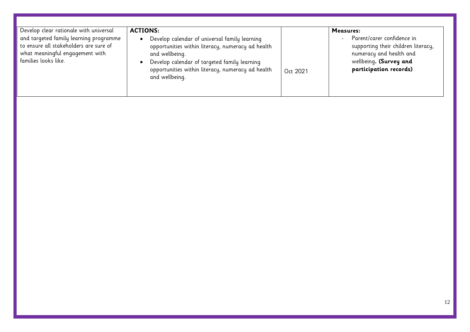| Develop clear rationale with universal                                                                                                      | <b>ACTIONS:</b>                                                                                                                                                                                                                             |          | Measures:                                                                                                                                        |
|---------------------------------------------------------------------------------------------------------------------------------------------|---------------------------------------------------------------------------------------------------------------------------------------------------------------------------------------------------------------------------------------------|----------|--------------------------------------------------------------------------------------------------------------------------------------------------|
| and targeted family learning programme<br>to ensure all stakeholders are sure of<br>what meaningful engagement with<br>families looks like. | Develop calendar of universal family learning<br>opportunities within literacy, numeracy ad health<br>and wellbeing.<br>Develop calendar of targeted family learning<br>opportunities within literacy, numeracy ad health<br>and wellbeing. | Oct 2021 | Parent/carer confidence in<br>supporting their children literacy,<br>numeracy and health and<br>wellbeing. (Survey and<br>participation records) |